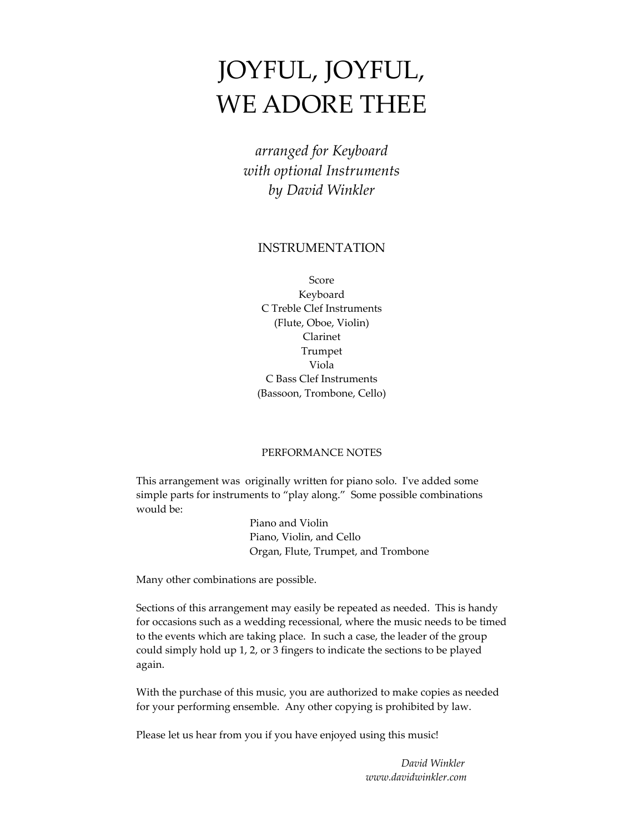# JOYFUL, JOYFUL, WE ADORE THEE

*arranged for Keyboard with optional Instruments by David Winkler*

## INSTRUMENTATION

Score Keyboard C Treble Clef Instruments (Flute, Oboe, Violin) Clarinet Trumpet Viola C Bass Clef Instruments (Bassoon, Trombone, Cello)

### PERFORMANCE NOTES

This arrangement was originally written for piano solo. Iʹve added some simple parts for instruments to "play along." Some possible combinations would be:

> Piano and Violin Piano, Violin, and Cello Organ, Flute, Trumpet, and Trombone

Many other combinations are possible.

Sections of this arrangement may easily be repeated as needed. This is handy for occasions such as a wedding recessional, where the music needs to be timed to the events which are taking place. In such a case, the leader of the group could simply hold up 1, 2, or 3 fingers to indicate the sections to be played again.

With the purchase of this music, you are authorized to make copies as needed for your performing ensemble. Any other copying is prohibited by law.

Please let us hear from you if you have enjoyed using this music!

 *David Winkler www.davidwinkler.com*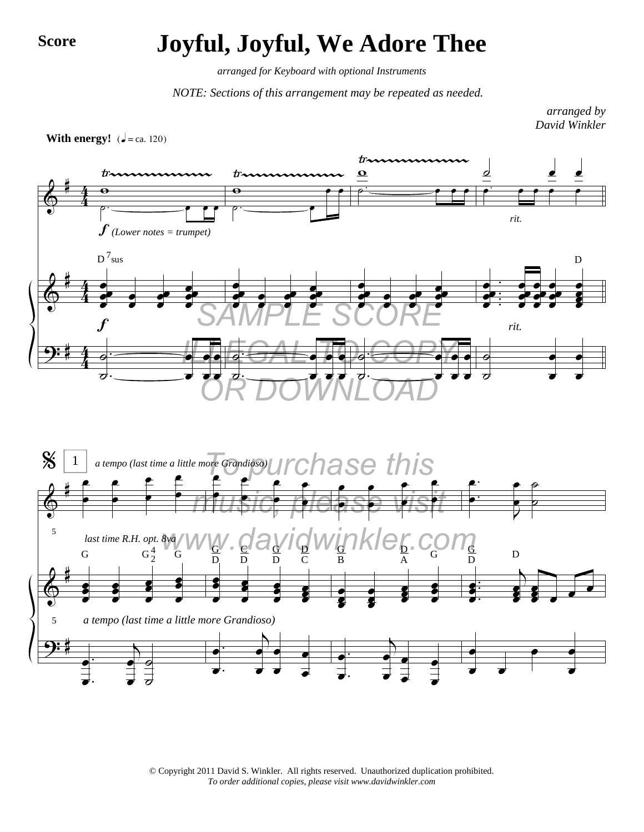## **Score Joyful, Joyful, We Adore Thee**

*arranged for Keyboard with optional Instruments*

*NOTE: Sections of this arrangement may be repeated as needed.*

*arranged by David Winkler*





© Copyright 2011 David S. Winkler. All rights reserved. Unauthorized duplication prohibited. *To order additional copies, please visit www.davidwinkler.com*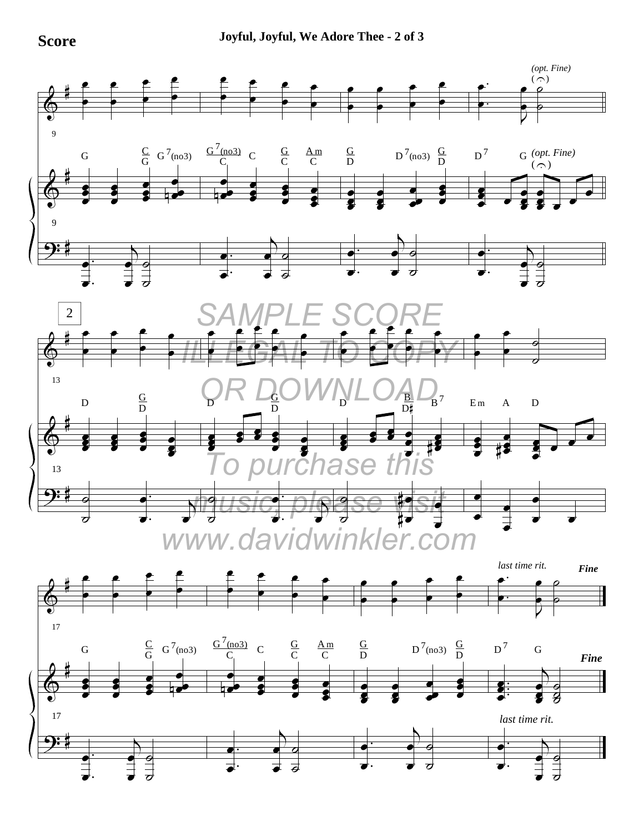